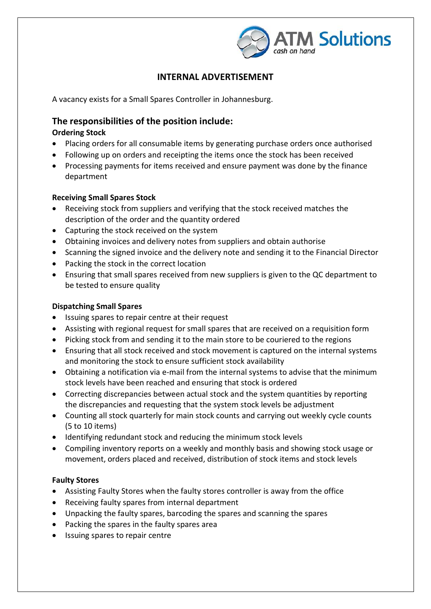

## **INTERNAL ADVERTISEMENT**

A vacancy exists for a Small Spares Controller in Johannesburg.

### **The responsibilities of the position include:**

#### **Ordering Stock**

- Placing orders for all consumable items by generating purchase orders once authorised
- Following up on orders and receipting the items once the stock has been received
- Processing payments for items received and ensure payment was done by the finance department

#### **Receiving Small Spares Stock**

- Receiving stock from suppliers and verifying that the stock received matches the description of the order and the quantity ordered
- Capturing the stock received on the system
- Obtaining invoices and delivery notes from suppliers and obtain authorise
- Scanning the signed invoice and the delivery note and sending it to the Financial Director
- Packing the stock in the correct location
- Ensuring that small spares received from new suppliers is given to the QC department to be tested to ensure quality

#### **Dispatching Small Spares**

- Issuing spares to repair centre at their request
- Assisting with regional request for small spares that are received on a requisition form
- Picking stock from and sending it to the main store to be couriered to the regions
- Ensuring that all stock received and stock movement is captured on the internal systems and monitoring the stock to ensure sufficient stock availability
- Obtaining a notification via e-mail from the internal systems to advise that the minimum stock levels have been reached and ensuring that stock is ordered
- Correcting discrepancies between actual stock and the system quantities by reporting the discrepancies and requesting that the system stock levels be adjustment
- Counting all stock quarterly for main stock counts and carrying out weekly cycle counts (5 to 10 items)
- Identifying redundant stock and reducing the minimum stock levels
- Compiling inventory reports on a weekly and monthly basis and showing stock usage or movement, orders placed and received, distribution of stock items and stock levels

#### **Faulty Stores**

- Assisting Faulty Stores when the faulty stores controller is away from the office
- Receiving faulty spares from internal department
- Unpacking the faulty spares, barcoding the spares and scanning the spares
- Packing the spares in the faulty spares area
- Issuing spares to repair centre